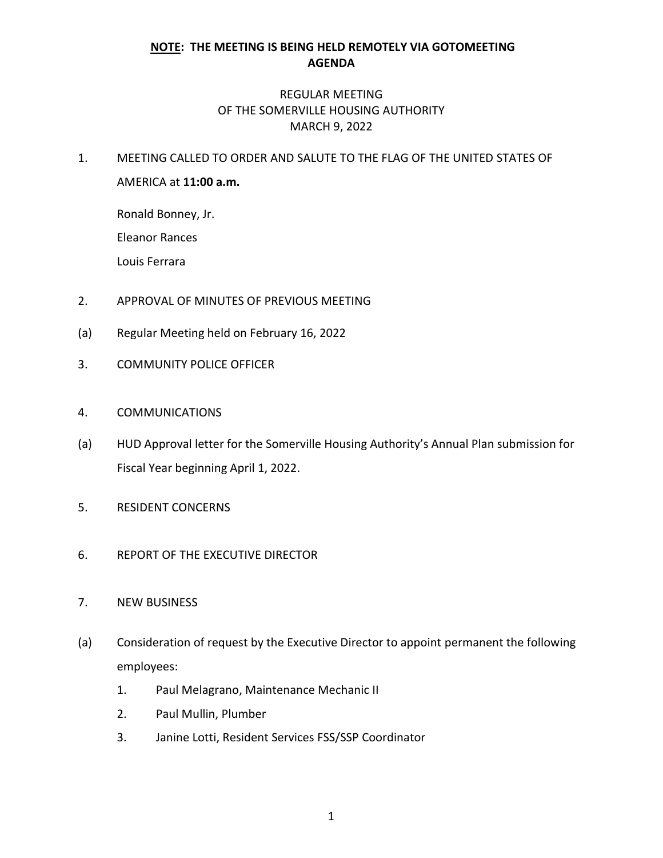## **NOTE: THE MEETING IS BEING HELD REMOTELY VIA GOTOMEETING AGENDA**

## REGULAR MEETING OF THE SOMERVILLE HOUSING AUTHORITY MARCH 9, 2022

1. MEETING CALLED TO ORDER AND SALUTE TO THE FLAG OF THE UNITED STATES OF AMERICA at **11:00 a.m.**

Ronald Bonney, Jr.

Eleanor Rances

Louis Ferrara

- 2. APPROVAL OF MINUTES OF PREVIOUS MEETING
- (a) Regular Meeting held on February 16, 2022
- 3. COMMUNITY POLICE OFFICER
- 4. COMMUNICATIONS
- (a) HUD Approval letter for the Somerville Housing Authority's Annual Plan submission for Fiscal Year beginning April 1, 2022.
- 5. RESIDENT CONCERNS
- 6. REPORT OF THE EXECUTIVE DIRECTOR
- 7. NEW BUSINESS
- (a) Consideration of request by the Executive Director to appoint permanent the following employees:
	- 1. Paul Melagrano, Maintenance Mechanic II
	- 2. Paul Mullin, Plumber
	- 3. Janine Lotti, Resident Services FSS/SSP Coordinator